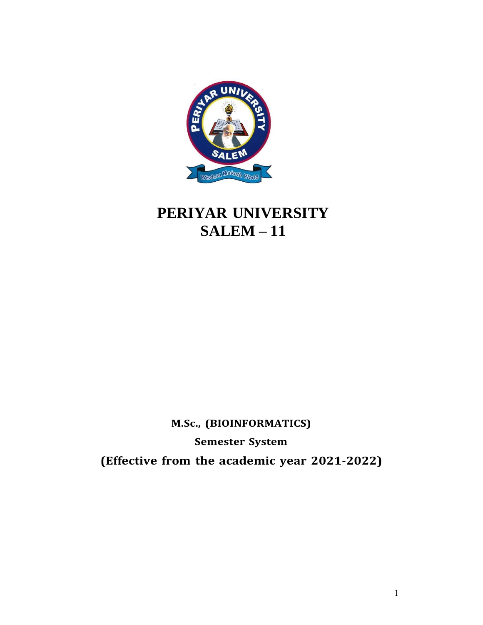

# **PERIYAR UNIVERSITY SALEM – 11**

# **M.Sc., (BIOINFORMATICS)**

**Semester System**

**(Effective from the academic year 2021-2022)**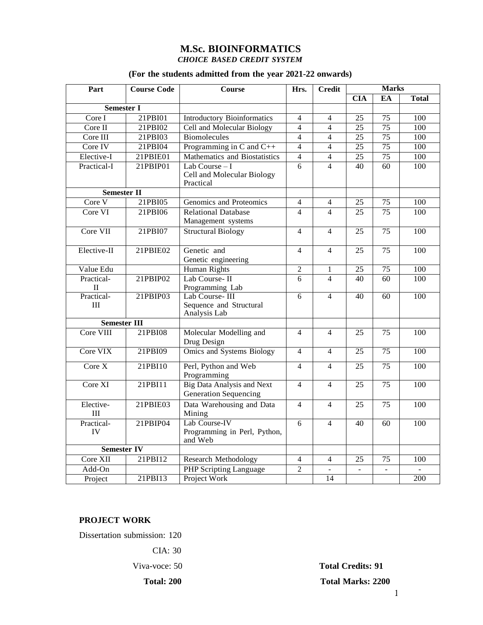# **M.Sc. BIOINFORMATICS** *CHOICE BASED CREDIT SYSTEM*

### **(For the students admitted from the year 2021-22 onwards)**

| Part                       | <b>Course Code</b> | <b>Course</b>                                                     | Hrs.           | <b>Credit</b>            | <b>Marks</b>            |                 |              |
|----------------------------|--------------------|-------------------------------------------------------------------|----------------|--------------------------|-------------------------|-----------------|--------------|
|                            |                    |                                                                   |                |                          | $\overline{\text{CIA}}$ | EA              | <b>Total</b> |
| <b>Semester I</b>          |                    |                                                                   |                |                          |                         |                 |              |
| Core I                     | 21PBI01            | <b>Introductory Bioinformatics</b>                                | $\overline{4}$ | $\overline{4}$           | $\overline{25}$         | $\overline{75}$ | 100          |
| Core II                    | 21PBI02            | Cell and Molecular Biology                                        | $\overline{4}$ | $\overline{4}$           | $\overline{25}$         | $\overline{75}$ | 100          |
| Core III                   | 21PBI03            | <b>Biomolecules</b>                                               | $\overline{4}$ | $\overline{4}$           | $\overline{25}$         | 75              | 100          |
| Core IV                    | 21PBI04            | Programming in C and C++                                          | $\overline{4}$ | $\overline{4}$           | $\overline{25}$         | $\overline{75}$ | 100          |
| Elective-I                 | 21PBIE01           | Mathematics and Biostatistics                                     | $\overline{4}$ | 4                        | $\overline{25}$         | $\overline{75}$ | 100          |
| Practical-I                | 21PBIP01           | Lab Course $-I$<br>Cell and Molecular Biology<br>Practical        | 6              | $\overline{\mathcal{L}}$ | 40                      | 60              | 100          |
| <b>Semester II</b>         |                    |                                                                   |                |                          |                         |                 |              |
| Core V                     | 21PBI05            | Genomics and Proteomics                                           | $\overline{4}$ | $\overline{4}$           | $\overline{25}$         | $\overline{75}$ | 100          |
| Core VI                    | 21PBI06            | <b>Relational Database</b>                                        | $\overline{4}$ | $\overline{4}$           | $\overline{25}$         | $\overline{75}$ | 100          |
|                            |                    | Management systems                                                |                |                          |                         |                 |              |
| Core VII                   | 21PBI07            | <b>Structural Biology</b>                                         | $\overline{4}$ | $\overline{4}$           | 25                      | 75              | 100          |
| Elective-II                | 21PBIE02           | Genetic and<br>Genetic engineering                                | $\overline{4}$ | $\overline{4}$           | 25                      | 75              | 100          |
| Value Edu                  |                    | Human Rights                                                      | $\overline{2}$ | 1                        | 25                      | $\overline{75}$ | 100          |
| Practical-<br>$\mathbf{I}$ | 21PBIP02           | Lab Course-II<br>Programming Lab                                  | 6              | $\overline{4}$           | 40                      | 60              | 100          |
| Practical-<br>III          | 21PBIP03           | Lab Course-III<br>Sequence and Structural<br>Analysis Lab         | 6              | $\overline{4}$           | 40                      | $\overline{60}$ | 100          |
| <b>Semester III</b>        |                    |                                                                   |                |                          |                         |                 |              |
| Core VIII                  | 21PBI08            | Molecular Modelling and<br>Drug Design                            | $\overline{4}$ | $\overline{4}$           | 25                      | 75              | 100          |
| Core VIX                   | 21PBI09            | Omics and Systems Biology                                         | 4              | $\overline{4}$           | 25                      | 75              | 100          |
| Core $X$                   | 21PBI10            | Perl, Python and Web<br>Programming                               | $\overline{4}$ | $\overline{4}$           | 25                      | 75              | 100          |
| Core XI                    | 21PBI11            | <b>Big Data Analysis and Next</b><br><b>Generation Sequencing</b> | $\overline{4}$ | $\overline{4}$           | 25                      | 75              | 100          |
| Elective-<br>III           | 21PBIE03           | Data Warehousing and Data<br>Mining                               | 4              | $\overline{4}$           | 25                      | 75              | 100          |
| Practical-<br>IV           | 21PBIP04           | Lab Course-IV<br>Programming in Perl, Python,<br>and Web          | $\overline{6}$ | $\overline{4}$           | 40                      | 60              | 100          |
| <b>Semester IV</b>         |                    |                                                                   |                |                          |                         |                 |              |
| Core XII                   | 21PBI12            | <b>Research Methodology</b>                                       | $\overline{4}$ | $\overline{4}$           | 25                      | 75              | 100          |
| Add-On                     |                    | <b>PHP Scripting Language</b>                                     | $\overline{2}$ | ä,                       | $\overline{a}$          |                 |              |
| Project                    | 21PBI13            | Project Work                                                      |                | 14                       |                         |                 | 200          |

# **PROJECT WORK**

Dissertation submission: 120

CIA: 30

Viva-voce: 50 **Total Credits: 91 Total: 200 Total Marks: 2200**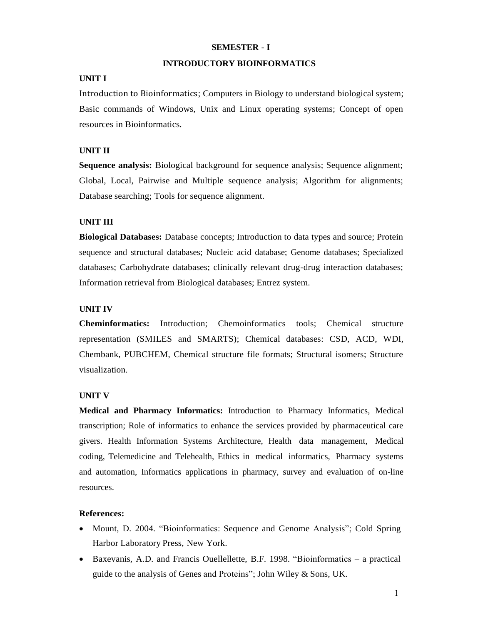### **SEMESTER** - **I**

### **INTRODUCTORY BIOINFORMATICS**

# **UNIT I**

Introduction to Bioinformatics; Computers in Biology to understand biological system; Basic commands of Windows, Unix and Linux operating systems; Concept of open resources in Bioinformatics.

### **UNIT II**

**Sequence analysis:** Biological background for sequence analysis; Sequence alignment; Global, Local, Pairwise and Multiple sequence analysis; Algorithm for alignments; Database searching; Tools for sequence alignment.

### **UNIT III**

**Biological Databases:** Database concepts; Introduction to data types and source; Protein sequence and structural databases; Nucleic acid database; Genome databases; Specialized databases; Carbohydrate databases; clinically relevant drug-drug interaction databases; Information retrieval from Biological databases; Entrez system.

### **UNIT IV**

**Cheminformatics:** Introduction; Chemoinformatics tools; Chemical structure representation (SMILES and SMARTS); Chemical databases: CSD, ACD, WDI, Chembank, PUBCHEM, Chemical structure file formats; Structural isomers; Structure visualization.

### **UNIT V**

**Medical and Pharmacy Informatics:** Introduction to Pharmacy Informatics, Medical transcription; Role of informatics to enhance the services provided by pharmaceutical care givers. Health Information Systems Architecture, Health data management, Medical coding, Telemedicine and Telehealth, Ethics in medical informatics, Pharmacy systems and automation, Informatics applications in pharmacy, survey and evaluation of on-line resources.

### **References:**

- Mount, D. 2004. "Bioinformatics: Sequence and Genome Analysis"; Cold Spring Harbor Laboratory Press, New York.
- Baxevanis, A.D. and Francis Ouellellette, B.F. 1998. "Bioinformatics a practical guide to the analysis of Genes and Proteins"; John Wiley & Sons, UK.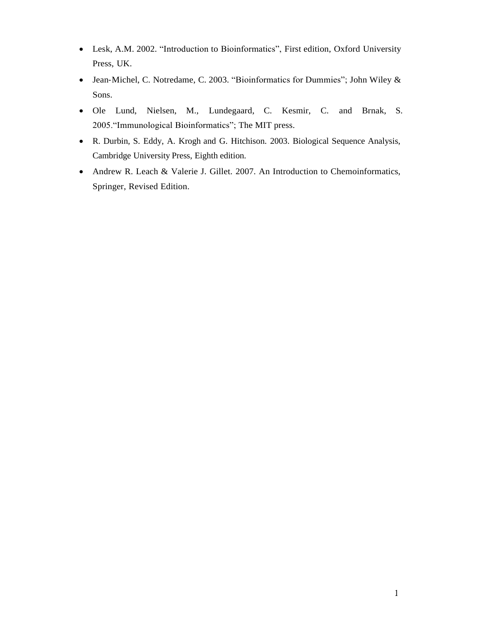- Lesk, A.M. 2002. "Introduction to Bioinformatics", First edition, Oxford University Press, UK.
- Jean-Michel, C. Notredame, C. 2003. "Bioinformatics for Dummies"; John Wiley & Sons.
- Ole Lund, Nielsen, M., Lundegaard, C. Kesmir, C. and Brnak, S. 2005."Immunological Bioinformatics"; The MIT press.
- R. Durbin, S. Eddy, A. Krogh and G. Hitchison. 2003. Biological Sequence Analysis, Cambridge University Press, Eighth edition.
- Andrew R. Leach & Valerie J. Gillet. 2007. An Introduction to Chemoinformatics, Springer, Revised Edition.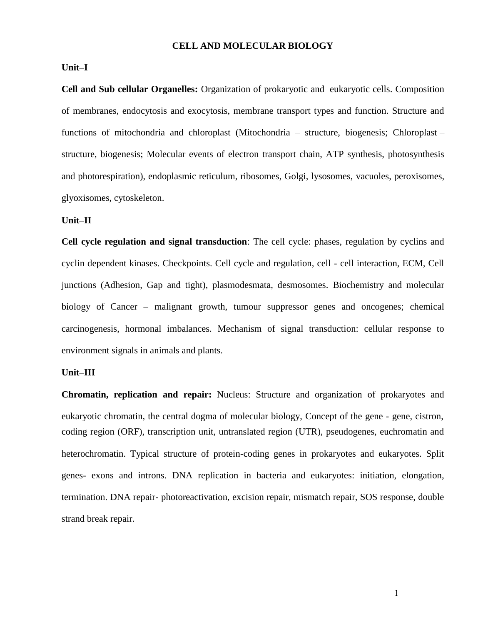#### **CELL AND MOLECULAR BIOLOGY**

#### **Unit–I**

**Cell and Sub cellular Organelles:** Organization of prokaryotic and eukaryotic cells. Composition of membranes, endocytosis and exocytosis, membrane transport types and function. Structure and functions of mitochondria and chloroplast (Mitochondria – structure, biogenesis; Chloroplast – structure, biogenesis; Molecular events of electron transport chain, ATP synthesis, photosynthesis and photorespiration), endoplasmic reticulum, ribosomes, Golgi, lysosomes, vacuoles, peroxisomes, glyoxisomes, cytoskeleton.

#### **Unit–II**

**Cell cycle regulation and signal transduction**: The cell cycle: phases, regulation by cyclins and cyclin dependent kinases. Checkpoints. Cell cycle and regulation, cell - cell interaction, ECM, Cell junctions (Adhesion, Gap and tight), plasmodesmata, desmosomes. Biochemistry and molecular biology of Cancer – malignant growth, tumour suppressor genes and oncogenes; chemical carcinogenesis, hormonal imbalances. Mechanism of signal transduction: cellular response to environment signals in animals and plants.

### **Unit–III**

**Chromatin, replication and repair:** Nucleus: Structure and organization of prokaryotes and eukaryotic chromatin, the central dogma of molecular biology, Concept of the gene - gene, cistron, coding region (ORF), transcription unit, untranslated region (UTR), pseudogenes, euchromatin and heterochromatin. Typical structure of protein-coding genes in prokaryotes and eukaryotes. Split genes- exons and introns. DNA replication in bacteria and eukaryotes: initiation, elongation, termination. DNA repair- photoreactivation, excision repair, mismatch repair, SOS response, double strand break repair.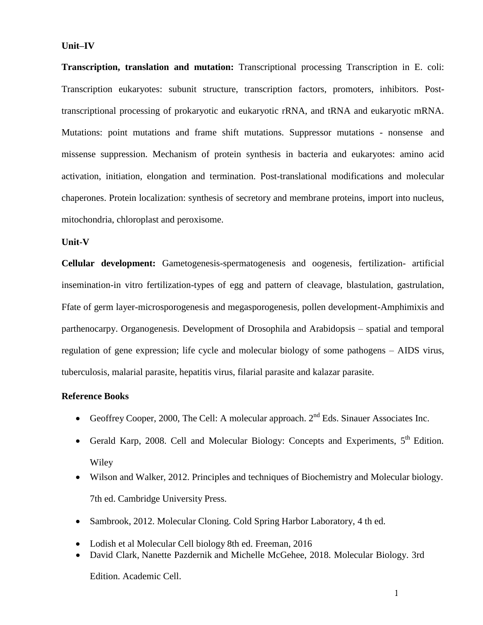#### **Unit–IV**

**Transcription, translation and mutation:** Transcriptional processing Transcription in E. coli: Transcription eukaryotes: subunit structure, transcription factors, promoters, inhibitors. Posttranscriptional processing of prokaryotic and eukaryotic rRNA, and tRNA and eukaryotic mRNA. Mutations: point mutations and frame shift mutations. Suppressor mutations - nonsense and missense suppression. Mechanism of protein synthesis in bacteria and eukaryotes: amino acid activation, initiation, elongation and termination. Post-translational modifications and molecular chaperones. Protein localization: synthesis of secretory and membrane proteins, import into nucleus, mitochondria, chloroplast and peroxisome.

### **Unit-V**

**Cellular development:** Gametogenesis-spermatogenesis and oogenesis, fertilization- artificial insemination-in vitro fertilization-types of egg and pattern of cleavage, blastulation, gastrulation, Ffate of germ layer-microsporogenesis and megasporogenesis, pollen development-Amphimixis and parthenocarpy. Organogenesis. Development of Drosophila and Arabidopsis – spatial and temporal regulation of gene expression; life cycle and molecular biology of some pathogens – AIDS virus, tuberculosis, malarial parasite, hepatitis virus, filarial parasite and kalazar parasite.

### **Reference Books**

- Geoffrey Cooper, 2000, The Cell: A molecular approach.  $2<sup>nd</sup>$  Eds. Sinauer Associates Inc.
- Gerald Karp, 2008. Cell and Molecular Biology: Concepts and Experiments, 5<sup>th</sup> Edition. Wiley
- Wilson and Walker, 2012. Principles and techniques of Biochemistry and Molecular biology. 7th ed. Cambridge University Press.
- Sambrook, 2012. Molecular Cloning. Cold Spring Harbor Laboratory, 4 th ed.
- Lodish et al Molecular Cell biology 8th ed. Freeman, 2016
- David Clark, Nanette Pazdernik and Michelle McGehee, 2018. Molecular Biology. 3rd

Edition. Academic Cell.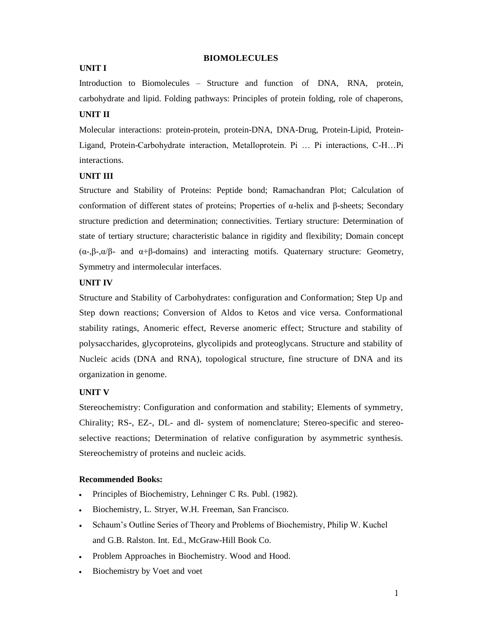#### **BIOMOLECULES**

#### **UNIT I**

Introduction to Biomolecules – Structure and function of DNA, RNA, protein, carbohydrate and lipid. Folding pathways: Principles of protein folding, role of chaperons,

# **UNIT II**

Molecular interactions: protein-protein, protein-DNA, DNA-Drug, Protein-Lipid, Protein-Ligand, Protein-Carbohydrate interaction, Metalloprotein. Pi … Pi interactions, C-H…Pi interactions.

### **UNIT III**

Structure and Stability of Proteins: Peptide bond; Ramachandran Plot; Calculation of conformation of different states of proteins; Properties of α-helix and β-sheets; Secondary structure prediction and determination; connectivities. Tertiary structure: Determination of state of tertiary structure; characteristic balance in rigidity and flexibility; Domain concept  $(\alpha, \beta, \alpha/\beta)$ - and  $\alpha+\beta$ -domains) and interacting motifs. Quaternary structure: Geometry, Symmetry and intermolecular interfaces.

#### **UNIT IV**

Structure and Stability of Carbohydrates: configuration and Conformation; Step Up and Step down reactions; Conversion of Aldos to Ketos and vice versa. Conformational stability ratings, Anomeric effect, Reverse anomeric effect; Structure and stability of polysaccharides, glycoproteins, glycolipids and proteoglycans. Structure and stability of Nucleic acids (DNA and RNA), topological structure, fine structure of DNA and its organization in genome.

### **UNIT V**

Stereochemistry: Configuration and conformation and stability; Elements of symmetry, Chirality; RS-, EZ-, DL- and dl- system of nomenclature; Stereo-specific and stereoselective reactions; Determination of relative configuration by asymmetric synthesis. Stereochemistry of proteins and nucleic acids.

- Principles of Biochemistry, Lehninger C Rs. Publ. (1982).
- Biochemistry, L. Stryer, W.H. Freeman, San Francisco.
- Schaum's Outline Series of Theory and Problems of Biochemistry, Philip W. Kuchel and G.B. Ralston. Int. Ed., McGraw-Hill Book Co.
- Problem Approaches in Biochemistry. Wood and Hood.
- Biochemistry by Voet and voet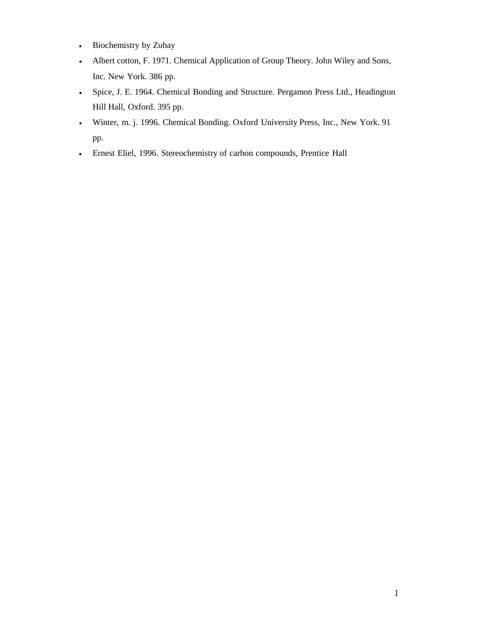- Biochemistry by Zubay
- Albert cotton, F. 1971. Chemical Application of Group Theory. John Wiley and Sons, Inc. New York. 386 pp.
- Spice, J. E. 1964. Chemical Bonding and Structure. Pergamon Press Ltd., Headington Hill Hall, Oxford. 395 pp.
- Winter, m. j. 1996. Chemical Bonding. Oxford University Press, Inc., New York. 91 pp.
- Ernest Eliel, 1996. Stereochemistry of carbon compounds, Prentice Hall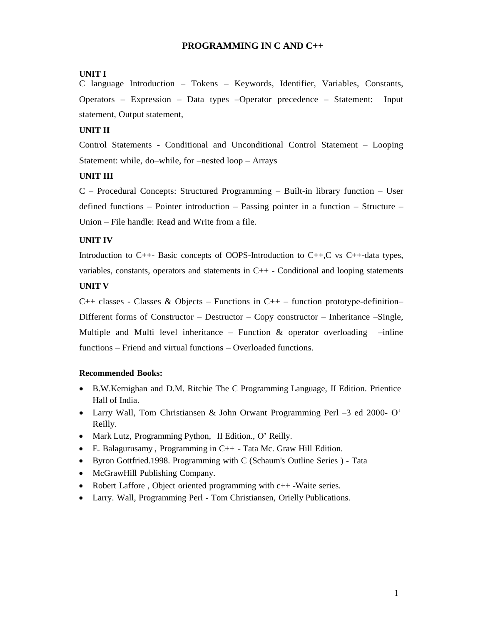### **PROGRAMMING IN C AND C++**

### **UNIT I**

C language Introduction – Tokens – Keywords, Identifier, Variables, Constants, Operators – Expression – Data types –Operator precedence – Statement: Input statement, Output statement,

### **UNIT II**

Control Statements - Conditional and Unconditional Control Statement – Looping Statement: while, do–while, for –nested loop – Arrays

### **UNIT III**

C – Procedural Concepts: Structured Programming – Built-in library function – User defined functions – Pointer introduction – Passing pointer in a function – Structure – Union – File handle: Read and Write from a file.

### **UNIT IV**

Introduction to C++- Basic concepts of OOPS-Introduction to C++,C vs C++-data types, variables, constants, operators and statements in  $C_{++}$  - Conditional and looping statements **UNIT V**

 $C_{++}$  classes - Classes & Objects – Functions in  $C_{++}$  – function prototype-definition– Different forms of Constructor – Destructor – Copy constructor – Inheritance –Single, Multiple and Multi level inheritance – Function  $\&$  operator overloading –inline functions – Friend and virtual functions – Overloaded functions.

- B.W.Kernighan and D.M. Ritchie The C Programming Language, II Edition. Prientice Hall of India.
- Larry Wall, Tom Christiansen & John Orwant Programming Perl –3 ed 2000- O' Reilly.
- Mark Lutz, Programming Python, II Edition., O' Reilly.
- $\bullet$  E. Balagurusamy, Programming in C++ Tata Mc. Graw Hill Edition.
- Byron Gottfried.1998. Programming with C (Schaum's Outline Series ) Tata
- McGrawHill Publishing Company.
- Robert Laffore, Object oriented programming with c++-Waite series.
- Larry. Wall, Programming Perl Tom Christiansen, Orielly Publications.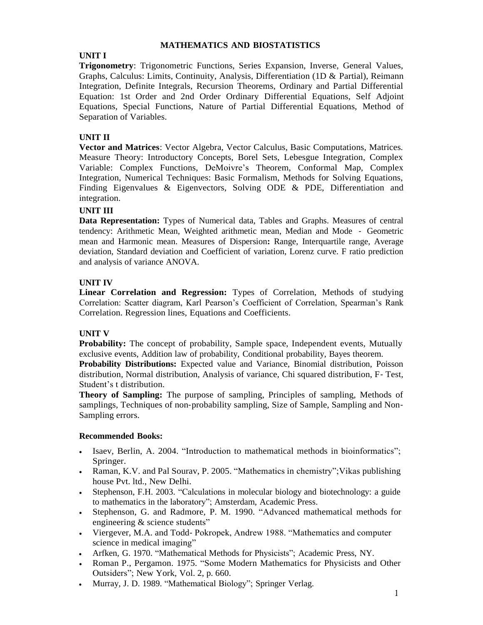### **MATHEMATICS AND BIOSTATISTICS**

# **UNIT I**

**Trigonometry**: Trigonometric Functions, Series Expansion, Inverse, General Values, Graphs, Calculus: Limits, Continuity, Analysis, Differentiation (1D & Partial), Reimann Integration, Definite Integrals, Recursion Theorems, Ordinary and Partial Differential Equation: 1st Order and 2nd Order Ordinary Differential Equations, Self Adjoint Equations, Special Functions, Nature of Partial Differential Equations, Method of Separation of Variables.

# **UNIT II**

**Vector and Matrices**: Vector Algebra, Vector Calculus, Basic Computations, Matrices. Measure Theory: Introductory Concepts, Borel Sets, Lebesgue Integration, Complex Variable: Complex Functions, DeMoivre's Theorem, Conformal Map, Complex Integration, Numerical Techniques: Basic Formalism, Methods for Solving Equations, Finding Eigenvalues & Eigenvectors, Solving ODE & PDE, Differentiation and integration.

# **UNIT III**

**Data Representation:** Types of Numerical data, Tables and Graphs. Measures of central tendency: Arithmetic Mean, Weighted arithmetic mean, Median and Mode - Geometric mean and Harmonic mean. Measures of Dispersion**:** Range, Interquartile range, Average deviation, Standard deviation and Coefficient of variation, Lorenz curve. F ratio prediction and analysis of variance ANOVA.

# **UNIT IV**

**Linear Correlation and Regression:** Types of Correlation, Methods of studying Correlation: Scatter diagram, Karl Pearson's Coefficient of Correlation, Spearman's Rank Correlation. Regression lines, Equations and Coefficients.

# **UNIT V**

**Probability:** The concept of probability, Sample space, Independent events, Mutually exclusive events, Addition law of probability, Conditional probability, Bayes theorem.

**Probability Distributions:** Expected value and Variance, Binomial distribution, Poisson distribution, Normal distribution, Analysis of variance, Chi squared distribution, F- Test, Student's t distribution.

**Theory of Sampling:** The purpose of sampling, Principles of sampling, Methods of samplings, Techniques of non-probability sampling, Size of Sample, Sampling and Non-Sampling errors.

- Isaev, Berlin, A. 2004. "Introduction to mathematical methods in bioinformatics"; Springer.
- Raman, K.V. and Pal Sourav, P. 2005. "Mathematics in chemistry";Vikas publishing house Pvt. ltd., New Delhi.
- Stephenson, F.H. 2003. "Calculations in molecular biology and biotechnology: a guide to mathematics in the laboratory"; Amsterdam, Academic Press.
- Stephenson, G. and Radmore, P. M. 1990. "Advanced mathematical methods for engineering & science students"
- Viergever, M.A. and Todd- Pokropek, Andrew 1988. "Mathematics and computer science in medical imaging"
- Arfken, G. 1970. "Mathematical Methods for Physicists"; Academic Press, NY.
- Roman P., Pergamon. 1975. "Some Modern Mathematics for Physicists and Other Outsiders"; New York, Vol. 2, p. 660.
- Murray, J. D. 1989. "Mathematical Biology"; Springer Verlag.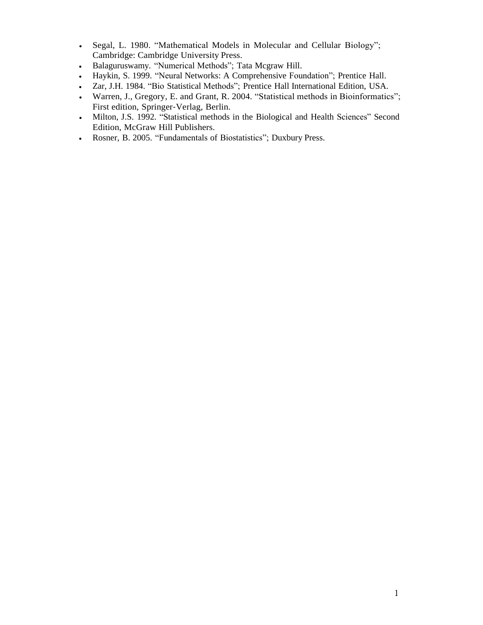- Segal, L. 1980. "Mathematical Models in Molecular and Cellular Biology"; Cambridge: Cambridge University Press.
- Balaguruswamy. "Numerical Methods"; Tata Mcgraw Hill.
- Haykin, S. 1999. "Neural Networks: A Comprehensive Foundation"; Prentice Hall.
- Zar, J.H. 1984. "Bio Statistical Methods"; Prentice Hall International Edition, USA.
- Warren, J., Gregory, E. and Grant, R. 2004. "Statistical methods in Bioinformatics"; First edition, Springer-Verlag, Berlin.
- Milton, J.S. 1992. "Statistical methods in the Biological and Health Sciences" Second Edition, McGraw Hill Publishers.
- Rosner, B. 2005. "Fundamentals of Biostatistics"; Duxbury Press.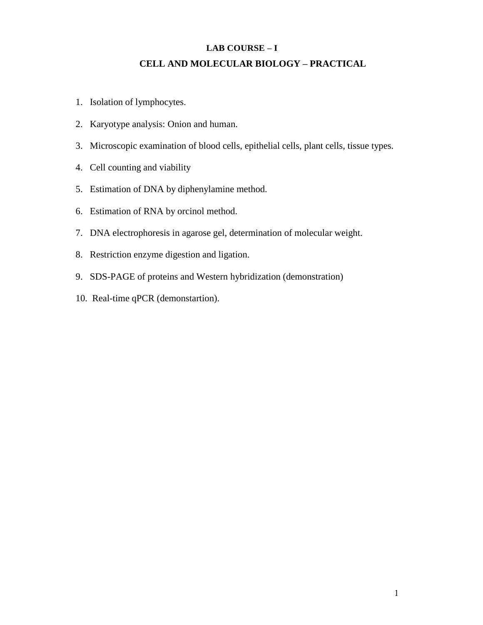# **LAB COURSE – I CELL AND MOLECULAR BIOLOGY – PRACTICAL**

- 1. Isolation of lymphocytes.
- 2. Karyotype analysis: Onion and human.
- 3. Microscopic examination of blood cells, epithelial cells, plant cells, tissue types.
- 4. Cell counting and viability
- 5. Estimation of DNA by diphenylamine method.
- 6. Estimation of RNA by orcinol method.
- 7. DNA electrophoresis in agarose gel, determination of molecular weight.
- 8. Restriction enzyme digestion and ligation.
- 9. SDS-PAGE of proteins and Western hybridization (demonstration)
- 10. Real-time qPCR (demonstartion).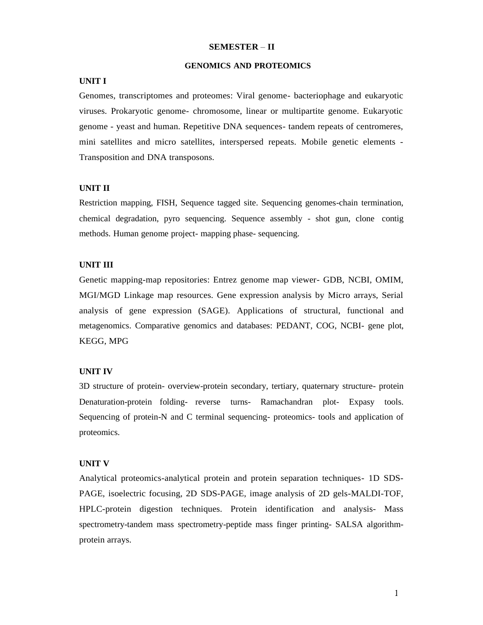#### **SEMESTER** – **II**

#### **GENOMICS AND PROTEOMICS**

#### **UNIT I**

Genomes, transcriptomes and proteomes: Viral genome- bacteriophage and eukaryotic viruses. Prokaryotic genome- chromosome, linear or multipartite genome. Eukaryotic genome - yeast and human. Repetitive DNA sequences- tandem repeats of centromeres, mini satellites and micro satellites, interspersed repeats. Mobile genetic elements - Transposition and DNA transposons.

#### **UNIT II**

Restriction mapping, FISH, Sequence tagged site. Sequencing genomes-chain termination, chemical degradation, pyro sequencing. Sequence assembly - shot gun, clone contig methods. Human genome project- mapping phase- sequencing.

#### **UNIT III**

Genetic mapping-map repositories: Entrez genome map viewer- GDB, NCBI, OMIM, MGI/MGD Linkage map resources. Gene expression analysis by Micro arrays, Serial analysis of gene expression (SAGE). Applications of structural, functional and metagenomics. Comparative genomics and databases: PEDANT, COG, NCBI- gene plot, KEGG, MPG

#### **UNIT IV**

3D structure of protein- overview-protein secondary, tertiary, quaternary structure- protein Denaturation-protein folding- reverse turns- Ramachandran plot- Expasy tools. Sequencing of protein-N and C terminal sequencing- proteomics- tools and application of proteomics.

#### **UNIT V**

Analytical proteomics-analytical protein and protein separation techniques- 1D SDS-PAGE, isoelectric focusing, 2D SDS-PAGE, image analysis of 2D gels-MALDI-TOF, HPLC-protein digestion techniques. Protein identification and analysis- Mass spectrometry-tandem mass spectrometry-peptide mass finger printing- SALSA algorithmprotein arrays.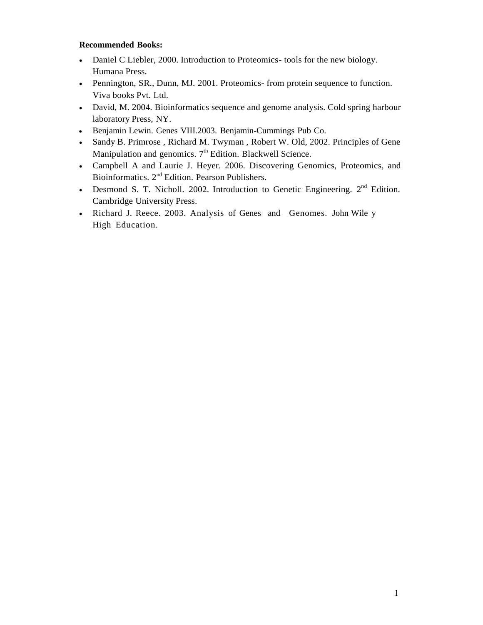- Daniel C Liebler, 2000. Introduction to Proteomics- tools for the new biology. Humana Press.
- Pennington, SR., Dunn, MJ. 2001. Proteomics- from protein sequence to function. Viva books Pvt. Ltd.
- David, M. 2004. Bioinformatics sequence and genome analysis. Cold spring harbour laboratory Press, NY.
- Benjamin Lewin. Genes VIII.2003. Benjamin-Cummings Pub Co.
- Sandy B. Primrose , Richard M. Twyman , Robert W. Old, 2002. Principles of Gene Manipulation and genomics. 7<sup>th</sup> Edition. Blackwell Science.
- Campbell A and Laurie J. Heyer. 2006. Discovering Genomics, Proteomics, and Bioinformatics. 2<sup>nd</sup> Edition. Pearson Publishers.
- Desmond S. T. Nicholl. 2002. Introduction to Genetic Engineering.  $2<sup>nd</sup>$  Edition. Cambridge University Press.
- Richard J. Reece. 2003. Analysis of Genes and Genomes. John Wile y High Education.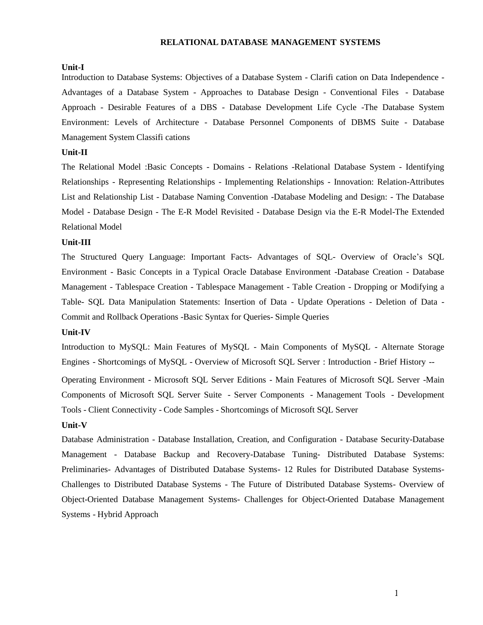#### **RELATIONAL DATABASE MANAGEMENT SYSTEMS**

#### **Unit-I**

Introduction to Database Systems: Objectives of a Database System - Clarifi cation on Data Independence - Advantages of a Database System - Approaches to Database Design - Conventional Files - Database Approach - Desirable Features of a DBS - Database Development Life Cycle -The Database System Environment: Levels of Architecture - Database Personnel Components of DBMS Suite - Database Management System Classifi cations

#### **Unit-II**

The Relational Model :Basic Concepts - Domains - Relations -Relational Database System - Identifying Relationships - Representing Relationships - Implementing Relationships - Innovation: Relation-Attributes List and Relationship List - Database Naming Convention -Database Modeling and Design: - The Database Model - Database Design - The E-R Model Revisited - Database Design via the E-R Model-The Extended Relational Model

#### **Unit-III**

The Structured Query Language: Important Facts- Advantages of SQL- Overview of Oracle's SQL Environment - Basic Concepts in a Typical Oracle Database Environment -Database Creation - Database Management - Tablespace Creation - Tablespace Management - Table Creation - Dropping or Modifying a Table- SQL Data Manipulation Statements: Insertion of Data - Update Operations - Deletion of Data - Commit and Rollback Operations -Basic Syntax for Queries- Simple Queries

#### **Unit-IV**

Introduction to MySQL: Main Features of MySQL - Main Components of MySQL - Alternate Storage Engines - Shortcomings of MySQL - Overview of Microsoft SQL Server : Introduction - Brief History --

Operating Environment - Microsoft SQL Server Editions - Main Features of Microsoft SQL Server -Main Components of Microsoft SQL Server Suite - Server Components - Management Tools - Development Tools - Client Connectivity - Code Samples - Shortcomings of Microsoft SQL Server

#### **Unit-V**

Database Administration - Database Installation, Creation, and Configuration - Database Security-Database Management - Database Backup and Recovery-Database Tuning- Distributed Database Systems: Preliminaries- Advantages of Distributed Database Systems- 12 Rules for Distributed Database Systems-Challenges to Distributed Database Systems - The Future of Distributed Database Systems- Overview of Object-Oriented Database Management Systems- Challenges for Object-Oriented Database Management Systems - Hybrid Approach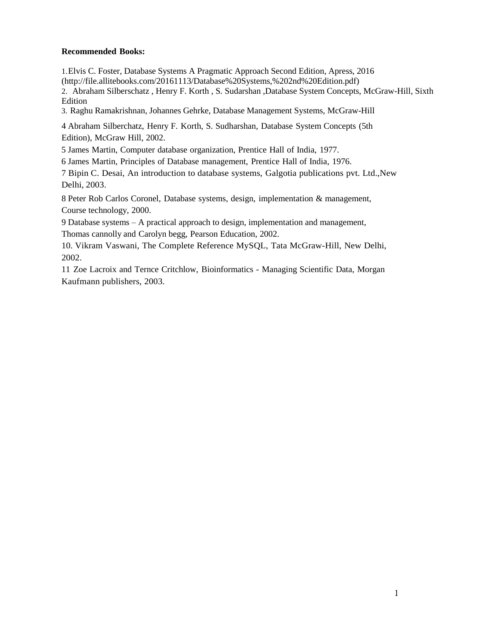### **Recommended Books:**

1.Elvis C. Foster, Database Systems A Pragmatic Approach Second Edition, Apress, 2016 [\(http://file.allitebooks.com/20161113/Database%20Systems,%202nd%20Edition.pdf\)](http://file.allitebooks.com/20161113/Database%20Systems%2C%202nd%20Edition.pdf)) 2. Abraham Silberschatz , Henry F. Korth , S. Sudarshan ,Database System Concepts, McGraw-Hill, Sixth Edition

3. Raghu Ramakrishnan, Johannes Gehrke, Database Management Systems, McGraw-Hill

4 Abraham Silberchatz, Henry F. Korth, S. Sudharshan, Database System Concepts (5th Edition), McGraw Hill, 2002.

5 James Martin, Computer database organization, Prentice Hall of India, 1977.

6 James Martin, Principles of Database management, Prentice Hall of India, 1976.

7 Bipin C. Desai, An introduction to database systems, Galgotia publications pvt. Ltd.,New Delhi, 2003.

8 Peter Rob Carlos Coronel, Database systems, design, implementation & management, Course technology, 2000.

9 Database systems – A practical approach to design, implementation and management,

Thomas cannolly and Carolyn begg, Pearson Education, 2002.

10. Vikram Vaswani, The Complete Reference MySQL, Tata McGraw-Hill, New Delhi, 2002.

11 Zoe Lacroix and Ternce Critchlow, Bioinformatics - Managing Scientific Data, Morgan Kaufmann publishers, 2003.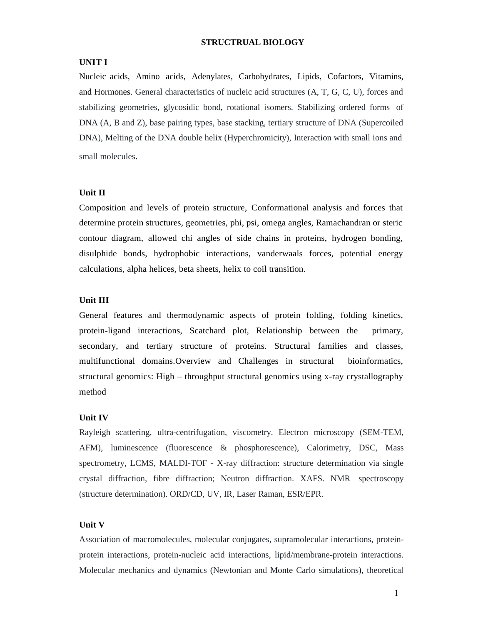#### **STRUCTRUAL BIOLOGY**

#### **UNIT I**

Nucleic acids, Amino acids, Adenylates, Carbohydrates, Lipids, Cofactors, Vitamins, and Hormones. General characteristics of nucleic acid structures (A, T, G, C, U), forces and stabilizing geometries, glycosidic bond, rotational isomers. Stabilizing ordered forms of DNA (A, B and Z), base pairing types, base stacking, tertiary structure of DNA (Supercoiled DNA), Melting of the DNA double helix (Hyperchromicity), Interaction with small ions and small molecules.

#### **Unit II**

Composition and levels of protein structure, Conformational analysis and forces that determine protein structures, geometries, phi, psi, omega angles, Ramachandran or steric contour diagram, allowed chi angles of side chains in proteins, hydrogen bonding, disulphide bonds, hydrophobic interactions, vanderwaals forces, potential energy calculations, alpha helices, beta sheets, helix to coil transition.

#### **Unit III**

General features and thermodynamic aspects of protein folding, folding kinetics, protein-ligand interactions, Scatchard plot, Relationship between the primary, secondary, and tertiary structure of proteins. Structural families and classes, multifunctional domains.Overview and Challenges in structural bioinformatics, structural genomics: High – throughput structural genomics using x-ray crystallography method

#### **Unit IV**

Rayleigh scattering, ultra-centrifugation, viscometry. Electron microscopy (SEM-TEM, AFM), luminescence (fluorescence & phosphorescence), Calorimetry, DSC, Mass spectrometry, LCMS, MALDI-TOF - X-ray diffraction: structure determination via single crystal diffraction, fibre diffraction; Neutron diffraction. XAFS. NMR spectroscopy (structure determination). ORD/CD, UV, IR, Laser Raman, ESR/EPR.

#### **Unit V**

Association of macromolecules, molecular conjugates, supramolecular interactions, proteinprotein interactions, protein-nucleic acid interactions, lipid/membrane-protein interactions. Molecular mechanics and dynamics (Newtonian and Monte Carlo simulations), theoretical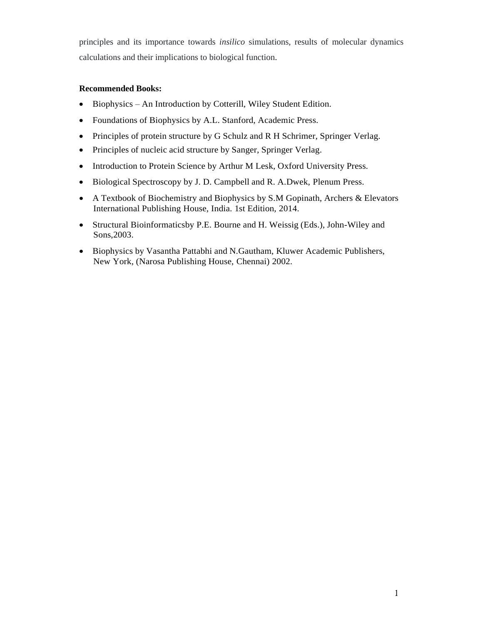principles and its importance towards *insilico* simulations, results of molecular dynamics calculations and their implications to biological function.

- Biophysics An Introduction by Cotterill, Wiley Student Edition.
- Foundations of Biophysics by A.L. Stanford, Academic Press.
- Principles of protein structure by G Schulz and R H Schrimer, Springer Verlag.
- Principles of nucleic acid structure by Sanger, Springer Verlag.
- Introduction to Protein Science by Arthur M Lesk, Oxford University Press.
- Biological Spectroscopy by J. D. Campbell and R. A.Dwek, Plenum Press.
- A Textbook of Biochemistry and Biophysics by S.M Gopinath, Archers & Elevators International Publishing House, India. 1st Edition, 2014.
- Structural Bioinformaticsby P.E. Bourne and H. Weissig (Eds.), John-Wiley and Sons,2003.
- Biophysics by Vasantha Pattabhi and N.Gautham, Kluwer Academic Publishers, New York, (Narosa Publishing House, Chennai) 2002.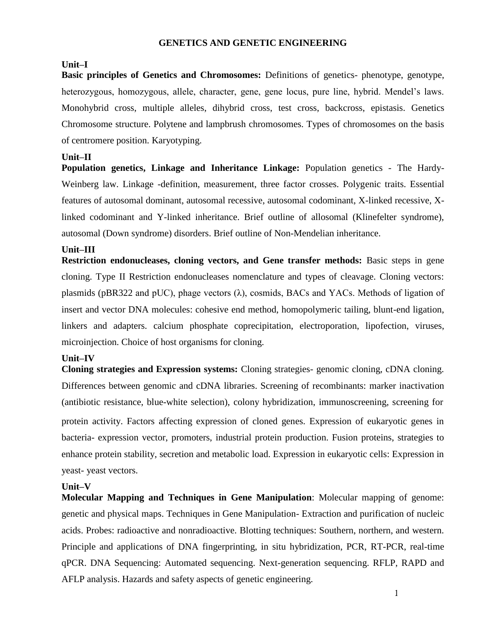### **GENETICS AND GENETIC ENGINEERING**

# **Unit–I**

**Basic principles of Genetics and Chromosomes:** Definitions of genetics- phenotype, genotype, heterozygous, homozygous, allele, character, gene, gene locus, pure line, hybrid. Mendel's laws. Monohybrid cross, multiple alleles, dihybrid cross, test cross, backcross, epistasis. Genetics Chromosome structure. Polytene and lampbrush chromosomes. Types of chromosomes on the basis of centromere position. Karyotyping.

### **Unit–II**

**Population genetics, Linkage and Inheritance Linkage:** Population genetics - The Hardy-Weinberg law. Linkage -definition, measurement, three factor crosses. Polygenic traits. Essential features of autosomal dominant, autosomal recessive, autosomal codominant, X-linked recessive, Xlinked codominant and Y-linked inheritance. Brief outline of allosomal (Klinefelter syndrome), autosomal (Down syndrome) disorders. Brief outline of Non-Mendelian inheritance.

# **Unit–III**

**Restriction endonucleases, cloning vectors, and Gene transfer methods:** Basic steps in gene cloning. Type II Restriction endonucleases nomenclature and types of cleavage. Cloning vectors: plasmids (pBR322 and pUC), phage vectors  $(\lambda)$ , cosmids, BACs and YACs. Methods of ligation of insert and vector DNA molecules: cohesive end method, homopolymeric tailing, blunt-end ligation, linkers and adapters. calcium phosphate coprecipitation, electroporation, lipofection, viruses, microinjection. Choice of host organisms for cloning.

# **Unit–IV**

**Cloning strategies and Expression systems:** Cloning strategies- genomic cloning, cDNA cloning. Differences between genomic and cDNA libraries. Screening of recombinants: marker inactivation (antibiotic resistance, blue-white selection), colony hybridization, immunoscreening, screening for protein activity. Factors affecting expression of cloned genes. Expression of eukaryotic genes in bacteria- expression vector, promoters, industrial protein production. Fusion proteins, strategies to enhance protein stability, secretion and metabolic load. Expression in eukaryotic cells: Expression in yeast- yeast vectors.

# **Unit–V**

**Molecular Mapping and Techniques in Gene Manipulation**: Molecular mapping of genome: genetic and physical maps. Techniques in Gene Manipulation- Extraction and purification of nucleic acids. Probes: radioactive and nonradioactive. Blotting techniques: Southern, northern, and western. Principle and applications of DNA fingerprinting, in situ hybridization, PCR, RT-PCR, real-time qPCR. DNA Sequencing: Automated sequencing. Next-generation sequencing. RFLP, RAPD and AFLP analysis. Hazards and safety aspects of genetic engineering.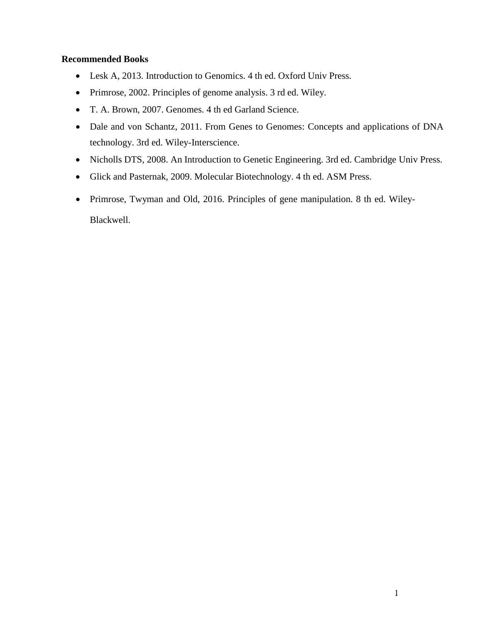- Lesk A, 2013. Introduction to Genomics. 4 th ed. Oxford Univ Press.
- Primrose, 2002. Principles of genome analysis. 3 rd ed. Wiley.
- T. A. Brown, 2007. Genomes. 4 th ed Garland Science.
- Dale and von Schantz, 2011. From Genes to Genomes: Concepts and applications of DNA technology. 3rd ed. Wiley-Interscience.
- Nicholls DTS, 2008. An Introduction to Genetic Engineering. 3rd ed. Cambridge Univ Press.
- Glick and Pasternak, 2009. Molecular Biotechnology. 4 th ed. ASM Press.
- Primrose, Twyman and Old, 2016. Principles of gene manipulation. 8 th ed. Wiley-Blackwell.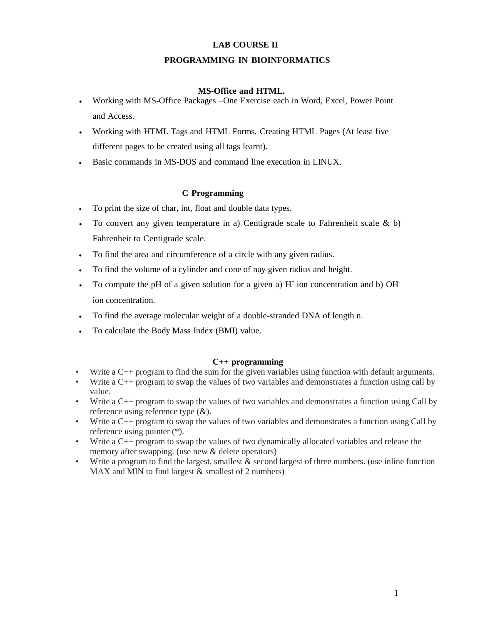### **LAB COURSE II**

### **PROGRAMMING IN BIOINFORMATICS**

#### **MS-Office and HTML.**

- Working with MS-Office Packages –One Exercise each in Word, Excel, Power Point and Access.
- Working with HTML Tags and HTML Forms. Creating HTML Pages (At least five different pages to be created using all tags learnt).
- Basic commands in MS-DOS and command line execution in LINUX.

### **C Programming**

- To print the size of char, int, float and double data types.
- To convert any given temperature in a) Centigrade scale to Fahrenheit scale  $\& b$ ) Fahrenheit to Centigrade scale.
- To find the area and circumference of a circle with any given radius.
- To find the volume of a cylinder and cone of nay given radius and height.
- To compute the pH of a given solution for a given a)  $H^+$  ion concentration and b) OH ion concentration.
- To find the average molecular weight of a double-stranded DNA of length n.
- To calculate the Body Mass Index (BMI) value.

### **C++ programming**

- Write a C++ program to find the sum for the given variables using function with default arguments.
- Write a C++ program to swap the values of two variables and demonstrates a function using call by value.
- Write a C++ program to swap the values of two variables and demonstrates a function using Call by reference using reference type (&).
- Write a C++ program to swap the values of two variables and demonstrates a function using Call by reference using pointer (\*).
- Write a C++ program to swap the values of two dynamically allocated variables and release the memory after swapping. (use new & delete operators)
- Write a program to find the largest, smallest & second largest of three numbers. (use inline function MAX and MIN to find largest & smallest of 2 numbers)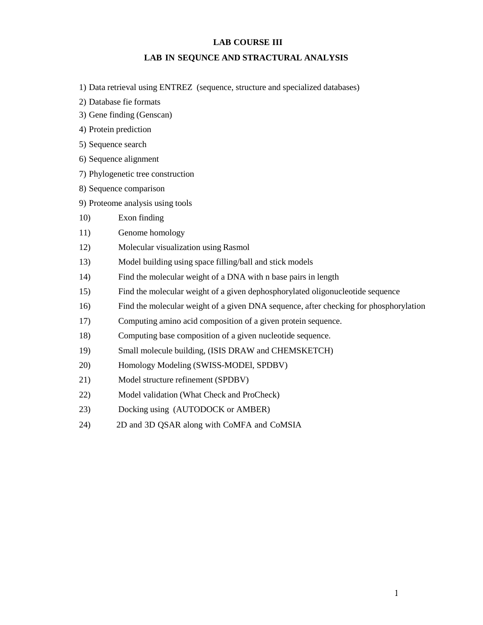### **LAB COURSE III**

### **LAB IN SEQUNCE AND STRACTURAL ANALYSIS**

- 1) Data retrieval using ENTREZ (sequence, structure and specialized databases)
- 2) Database fie formats
- 3) Gene finding (Genscan)
- 4) Protein prediction
- 5) Sequence search
- 6) Sequence alignment
- 7) Phylogenetic tree construction
- 8) Sequence comparison
- 9) Proteome analysis using tools
- 10) Exon finding
- 11) Genome homology
- 12) Molecular visualization using Rasmol
- 13) Model building using space filling/ball and stick models
- 14) Find the molecular weight of a DNA with n base pairs in length
- 15) Find the molecular weight of a given dephosphorylated oligonucleotide sequence
- 16) Find the molecular weight of a given DNA sequence, after checking for phosphorylation
- 17) Computing amino acid composition of a given protein sequence.
- 18) Computing base composition of a given nucleotide sequence.
- 19) Small molecule building, (ISIS DRAW and CHEMSKETCH)
- 20) Homology Modeling (SWISS-MODEl, SPDBV)
- 21) Model structure refinement (SPDBV)
- 22) Model validation (What Check and ProCheck)
- 23) Docking using (AUTODOCK or AMBER)
- 24) 2D and 3D QSAR along with CoMFA and CoMSIA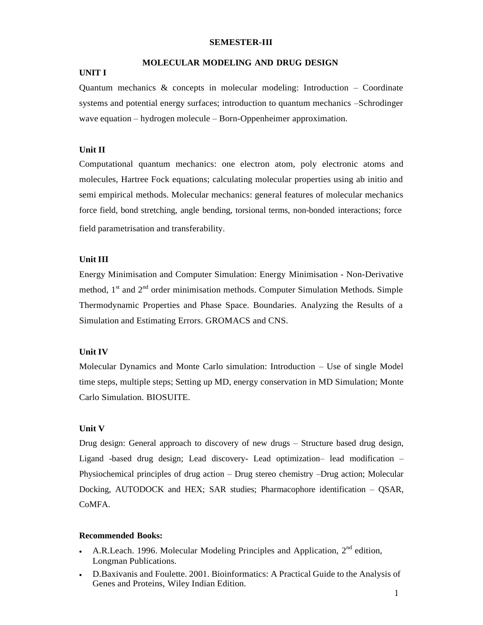#### **SEMESTER-III**

### **MOLECULAR MODELING AND DRUG DESIGN**

#### **UNIT I**

Quantum mechanics & concepts in molecular modeling: Introduction – Coordinate systems and potential energy surfaces; introduction to quantum mechanics –Schrodinger wave equation – hydrogen molecule – Born-Oppenheimer approximation.

#### **Unit II**

Computational quantum mechanics: one electron atom, poly electronic atoms and molecules, Hartree Fock equations; calculating molecular properties using ab initio and semi empirical methods. Molecular mechanics: general features of molecular mechanics force field, bond stretching, angle bending, torsional terms, non-bonded interactions; force field parametrisation and transferability.

#### **Unit III**

Energy Minimisation and Computer Simulation: Energy Minimisation - Non-Derivative method,  $1<sup>st</sup>$  and  $2<sup>nd</sup>$  order minimisation methods. Computer Simulation Methods. Simple Thermodynamic Properties and Phase Space. Boundaries. Analyzing the Results of a Simulation and Estimating Errors. GROMACS and CNS.

### **Unit IV**

Molecular Dynamics and Monte Carlo simulation: Introduction – Use of single Model time steps, multiple steps; Setting up MD, energy conservation in MD Simulation; Monte Carlo Simulation. BIOSUITE.

#### **Unit V**

Drug design: General approach to discovery of new drugs – Structure based drug design, Ligand -based drug design; Lead discovery- Lead optimization– lead modification – Physiochemical principles of drug action – Drug stereo chemistry –Drug action; Molecular Docking, AUTODOCK and HEX; SAR studies; Pharmacophore identification – QSAR, CoMFA.

- A.R.Leach. 1996. Molecular Modeling Principles and Application,  $2<sup>nd</sup>$  edition, Longman Publications.
- D.Baxivanis and Foulette. 2001. Bioinformatics: A Practical Guide to the Analysis of Genes and Proteins, Wiley Indian Edition.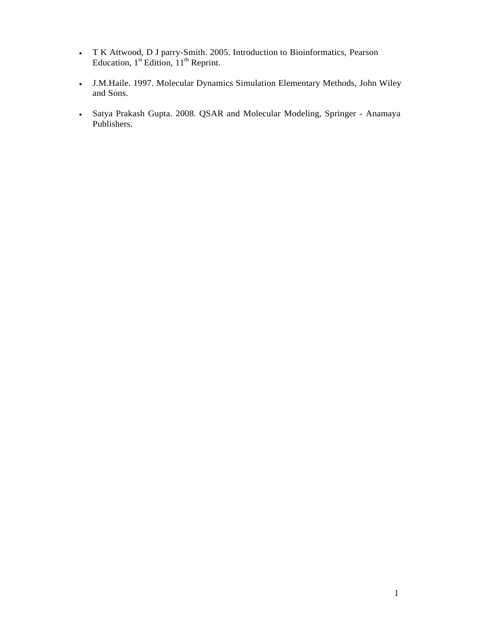- T K Attwood, D J parry-Smith. 2005. Introduction to Bioinformatics, Pearson Education,  $1<sup>st</sup>$  Edition,  $11<sup>th</sup>$  Reprint.
- J.M.Haile. 1997. Molecular Dynamics Simulation Elementary Methods, John Wiley and Sons.
- Satya Prakash Gupta. 2008. QSAR and Molecular Modeling, Springer Anamaya Publishers.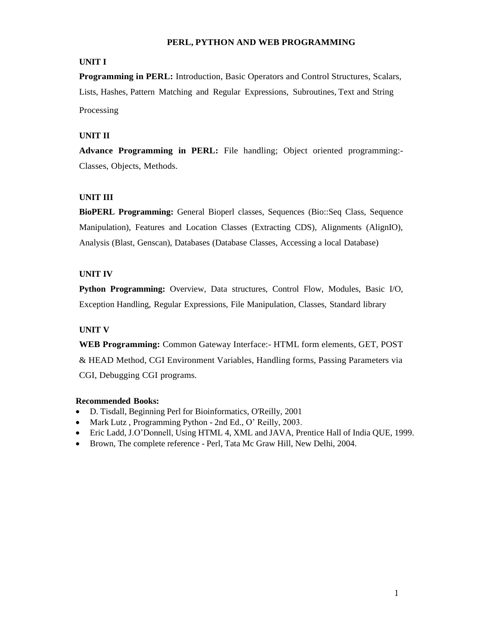### **PERL, PYTHON AND WEB PROGRAMMING**

# **UNIT I**

**Programming in PERL:** Introduction, Basic Operators and Control Structures, Scalars, Lists, Hashes, Pattern Matching and Regular Expressions, Subroutines, Text and String Processing

# **UNIT II**

**Advance Programming in PERL:** File handling; Object oriented programming:- Classes, Objects, Methods.

# **UNIT III**

**BioPERL Programming:** General Bioperl classes, Sequences (Bio::Seq Class, Sequence Manipulation), Features and Location Classes (Extracting CDS), Alignments (AlignIO), Analysis (Blast, Genscan), Databases (Database Classes, Accessing a local Database)

# **UNIT IV**

**Python Programming:** Overview, Data structures, Control Flow, Modules, Basic I/O, Exception Handling, Regular Expressions, File Manipulation, Classes, Standard library

# **UNIT V**

**WEB Programming:** Common Gateway Interface:- HTML form elements, GET, POST & HEAD Method, CGI Environment Variables, Handling forms, Passing Parameters via CGI, Debugging CGI programs.

- D. Tisdall, Beginning Perl for Bioinformatics, O'Reilly, 2001
- Mark Lutz, Programming Python 2nd Ed., O' Reilly, 2003.
- Eric Ladd, J.O'Donnell, Using HTML 4, XML and JAVA, Prentice Hall of India QUE, 1999.
- Brown, The complete reference Perl, Tata Mc Graw Hill, New Delhi, 2004.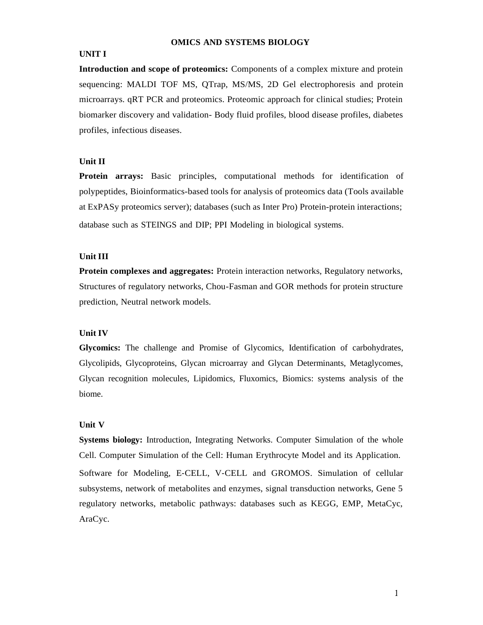#### **OMICS AND SYSTEMS BIOLOGY**

### **UNIT I**

**Introduction and scope of proteomics:** Components of a complex mixture and protein sequencing: MALDI TOF MS, QTrap, MS/MS, 2D Gel electrophoresis and protein microarrays. qRT PCR and proteomics. Proteomic approach for clinical studies; Protein biomarker discovery and validation- Body fluid profiles, blood disease profiles, diabetes profiles, infectious diseases.

#### **Unit II**

**Protein arrays:** Basic principles, computational methods for identification of polypeptides, Bioinformatics-based tools for analysis of proteomics data (Tools available at ExPASy proteomics server); databases (such as Inter Pro) Protein-protein interactions; database such as STEINGS and DIP; PPI Modeling in biological systems.

### **Unit III**

**Protein complexes and aggregates:** Protein interaction networks, Regulatory networks, Structures of regulatory networks, Chou-Fasman and GOR methods for protein structure prediction, Neutral network models.

#### **Unit IV**

**Glycomics:** The challenge and Promise of Glycomics, Identification of carbohydrates, Glycolipids, Glycoproteins, Glycan microarray and Glycan Determinants, Metaglycomes, Glycan recognition molecules, Lipidomics, Fluxomics, Biomics: systems analysis of the biome.

#### **Unit V**

**Systems biology:** Introduction, Integrating Networks. Computer Simulation of the whole Cell. Computer Simulation of the Cell: Human Erythrocyte Model and its Application. Software for Modeling, E-CELL, V-CELL and GROMOS. Simulation of cellular subsystems, network of metabolites and enzymes, signal transduction networks, Gene 5 regulatory networks, metabolic pathways: databases such as KEGG, EMP, MetaCyc, AraCyc.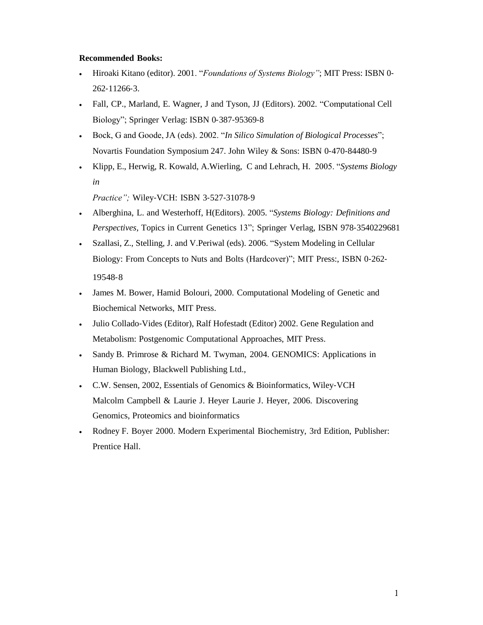### **Recommended Books:**

- Hiroaki Kitano (editor). 2001. "*Foundations of Systems Biology"*; MIT Press: ISBN 0- 262-11266-3.
- Fall, CP., Marland, E. Wagner, J and Tyson, JJ (Editors). 2002. "Computational Cell Biology"; Springer Verlag: ISBN 0-387-95369-8
- Bock, G and Goode, JA (eds). 2002. "*In Silico Simulation of Biological Processes*"; Novartis Foundation Symposium 247. John Wiley & Sons: ISBN 0-470-84480-9
- Klipp, E., Herwig, R. Kowald, A.Wierling, C and Lehrach, H. 2005. "*Systems Biology in*

*Practice";* Wiley-VCH: ISBN 3-527-31078-9

- Alberghina, L. and Westerhoff, H(Editors). 2005. "*Systems Biology: Definitions and Perspectives*, Topics in Current Genetics 13"; Springer Verlag, ISBN 978-3540229681
- Szallasi, Z., Stelling, J. and V.Periwal (eds). 2006. "System Modeling in Cellular Biology: From Concepts to Nuts and Bolts (Hardcover)"; MIT Press:, ISBN 0-262- 19548-8
- James M. Bower, Hamid Bolouri, 2000. Computational Modeling of Genetic and Biochemical Networks, MIT Press.
- Julio Collado-Vides (Editor), Ralf Hofestadt (Editor) 2002. Gene Regulation and Metabolism: Postgenomic Computational Approaches, MIT Press.
- Sandy B. Primrose & Richard M. Twyman, 2004. GENOMICS: Applications in Human Biology, Blackwell Publishing Ltd.,
- C.W. Sensen, 2002, Essentials of Genomics & Bioinformatics, Wiley-VCH Malcolm Campbell & Laurie J. Heyer Laurie J. Heyer, 2006. Discovering Genomics, Proteomics and bioinformatics
- Rodney F. Boyer 2000. Modern Experimental Biochemistry, 3rd Edition, Publisher: Prentice Hall.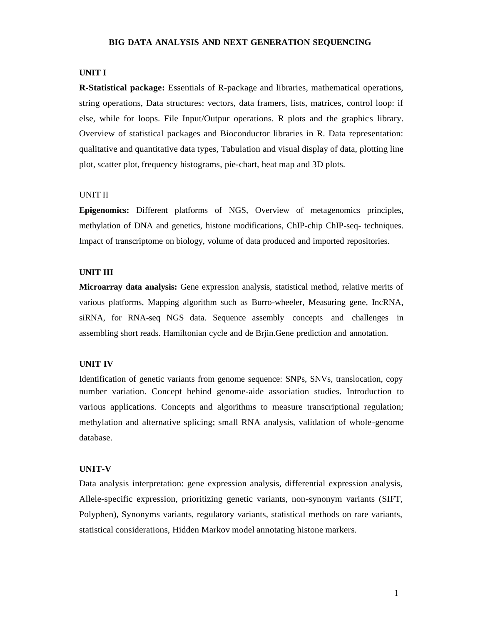#### **BIG DATA ANALYSIS AND NEXT GENERATION SEQUENCING**

#### **UNIT I**

**R-Statistical package:** Essentials of R-package and libraries, mathematical operations, string operations, Data structures: vectors, data framers, lists, matrices, control loop: if else, while for loops. File Input/Outpur operations. R plots and the graphics library. Overview of statistical packages and Bioconductor libraries in R. Data representation: qualitative and quantitative data types, Tabulation and visual display of data, plotting line plot, scatter plot, frequency histograms, pie-chart, heat map and 3D plots.

### UNIT II

**Epigenomics:** Different platforms of NGS, Overview of metagenomics principles, methylation of DNA and genetics, histone modifications, ChIP-chip ChIP-seq- techniques. Impact of transcriptome on biology, volume of data produced and imported repositories.

#### **UNIT III**

**Microarray data analysis:** Gene expression analysis, statistical method, relative merits of various platforms, Mapping algorithm such as Burro-wheeler, Measuring gene, IncRNA, siRNA, for RNA-seq NGS data. Sequence assembly concepts and challenges in assembling short reads. Hamiltonian cycle and de Brjin.Gene prediction and annotation.

#### **UNIT IV**

Identification of genetic variants from genome sequence: SNPs, SNVs, translocation, copy number variation. Concept behind genome-aide association studies. Introduction to various applications. Concepts and algorithms to measure transcriptional regulation; methylation and alternative splicing; small RNA analysis, validation of whole-genome database.

#### **UNIT-V**

Data analysis interpretation: gene expression analysis, differential expression analysis, Allele-specific expression, prioritizing genetic variants, non-synonym variants (SIFT, Polyphen), Synonyms variants, regulatory variants, statistical methods on rare variants, statistical considerations, Hidden Markov model annotating histone markers.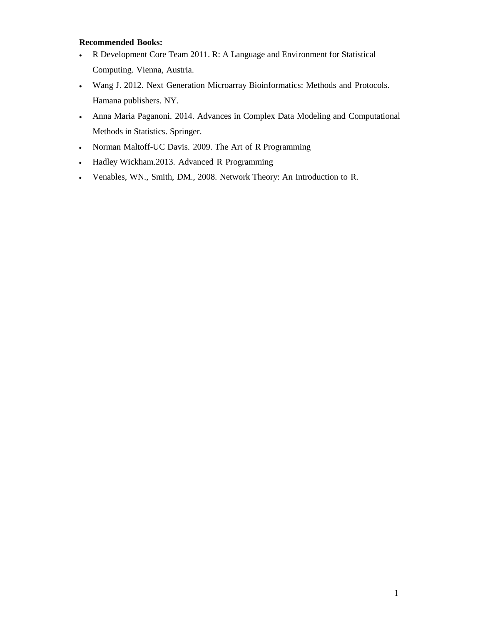- R Development Core Team 2011. R: A Language and Environment for Statistical Computing. Vienna, Austria.
- Wang J. 2012. Next Generation Microarray Bioinformatics: Methods and Protocols. Hamana publishers. NY.
- Anna Maria Paganoni. 2014. Advances in Complex Data Modeling and Computational Methods in Statistics. Springer.
- Norman Maltoff-UC Davis. 2009. The Art of R Programming
- Hadley Wickham.2013. Advanced R Programming
- Venables, WN., Smith, DM., 2008. Network Theory: An Introduction to R.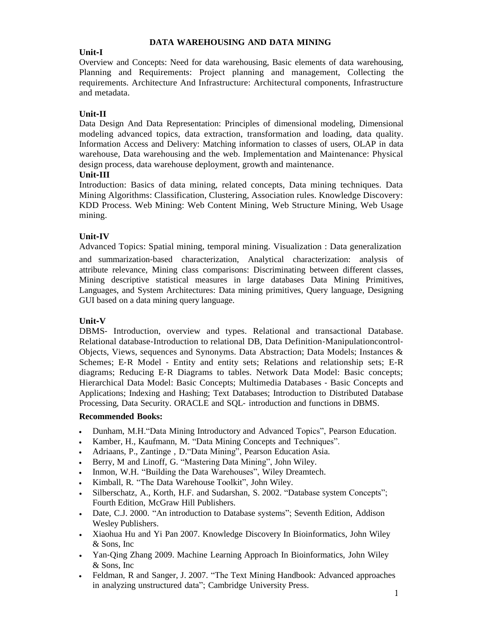### **DATA WAREHOUSING AND DATA MINING**

# **Unit-I**

Overview and Concepts: Need for data warehousing, Basic elements of data warehousing, Planning and Requirements: Project planning and management, Collecting the requirements. Architecture And Infrastructure: Architectural components, Infrastructure and metadata.

# **Unit-II**

Data Design And Data Representation: Principles of dimensional modeling, Dimensional modeling advanced topics, data extraction, transformation and loading, data quality. Information Access and Delivery: Matching information to classes of users, OLAP in data warehouse, Data warehousing and the web. Implementation and Maintenance: Physical design process, data warehouse deployment, growth and maintenance.

# **Unit-III**

Introduction: Basics of data mining, related concepts, Data mining techniques. Data Mining Algorithms: Classification, Clustering, Association rules. Knowledge Discovery: KDD Process. Web Mining: Web Content Mining, Web Structure Mining, Web Usage mining.

# **Unit-IV**

Advanced Topics: Spatial mining, temporal mining. Visualization : Data generalization

and summarization-based characterization, Analytical characterization: analysis of attribute relevance, Mining class comparisons: Discriminating between different classes, Mining descriptive statistical measures in large databases Data Mining Primitives, Languages, and System Architectures: Data mining primitives, Query language, Designing GUI based on a data mining query language.

# **Unit-V**

DBMS- Introduction, overview and types. Relational and transactional Database. Relational database-Introduction to relational DB, Data Definition-Manipulationcontrol-Objects, Views, sequences and Synonyms. Data Abstraction; Data Models; Instances & Schemes; E-R Model - Entity and entity sets; Relations and relationship sets; E-R diagrams; Reducing E-R Diagrams to tables. Network Data Model: Basic concepts; Hierarchical Data Model: Basic Concepts; Multimedia Databases - Basic Concepts and Applications; Indexing and Hashing; Text Databases; Introduction to Distributed Database Processing, Data Security. ORACLE and SQL- introduction and functions in DBMS.

- Dunham, M.H."Data Mining Introductory and Advanced Topics", Pearson Education.
- Kamber, H., Kaufmann, M. "Data Mining Concepts and Techniques".
- Adriaans, P., Zantinge , D."Data Mining", Pearson Education Asia.
- Berry, M and Linoff, G. "Mastering Data Mining", John Wiley.
- Inmon, W.H. "Building the Data Warehouses", Wiley Dreamtech.
- Kimball, R. "The Data Warehouse Toolkit", John Wiley.
- Silberschatz, A., Korth, H.F. and Sudarshan, S. 2002. "Database system Concepts"; Fourth Edition, McGraw Hill Publishers.
- Date, C.J. 2000. "An introduction to Database systems"; Seventh Edition, Addison Wesley Publishers.
- Xiaohua Hu and Yi Pan 2007. Knowledge Discovery In Bioinformatics, John Wiley & Sons, Inc
- Yan-Qing Zhang 2009. Machine Learning Approach In Bioinformatics, John Wiley & Sons, Inc
- Feldman, R and Sanger, J. 2007. "The Text Mining Handbook: Advanced approaches in analyzing unstructured data"; Cambridge University Press.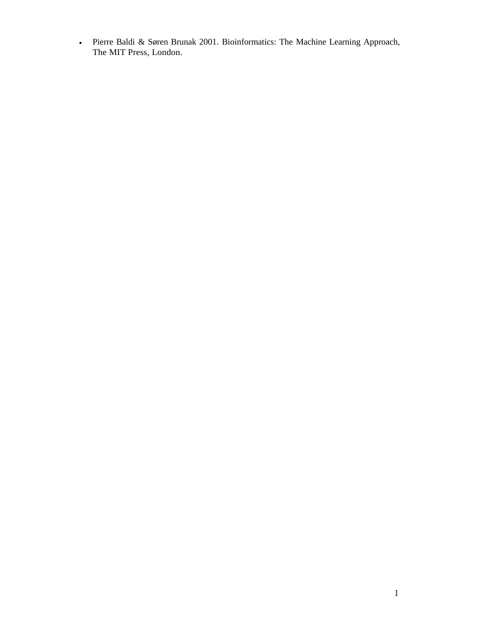Pierre Baldi & Søren Brunak 2001. Bioinformatics: The Machine Learning Approach, The MIT Press, London.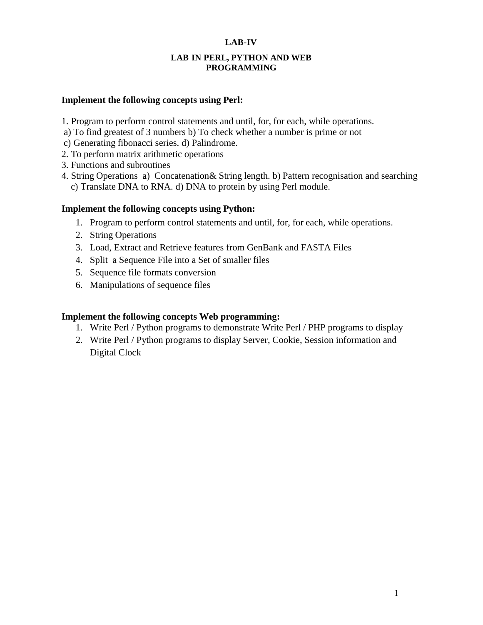### **LAB-IV**

### **LAB IN PERL, PYTHON AND WEB PROGRAMMING**

# **Implement the following concepts using Perl:**

- 1. Program to perform control statements and until, for, for each, while operations.
- a) To find greatest of 3 numbers b) To check whether a number is prime or not
- c) Generating fibonacci series. d) Palindrome.
- 2. To perform matrix arithmetic operations
- 3. Functions and subroutines
- 4. String Operations a) Concatenation& String length. b) Pattern recognisation and searching c) Translate DNA to RNA. d) DNA to protein by using Perl module.

# **Implement the following concepts using Python:**

- 1. Program to perform control statements and until, for, for each, while operations.
- 2. String Operations
- 3. Load, Extract and Retrieve features from GenBank and FASTA Files
- 4. Split a Sequence File into a Set of smaller files
- 5. Sequence file formats conversion
- 6. Manipulations of sequence files

# **Implement the following concepts Web programming:**

- 1. Write Perl / Python programs to demonstrate Write Perl / PHP programs to display
- 2. Write Perl / Python programs to display Server, Cookie, Session information and Digital Clock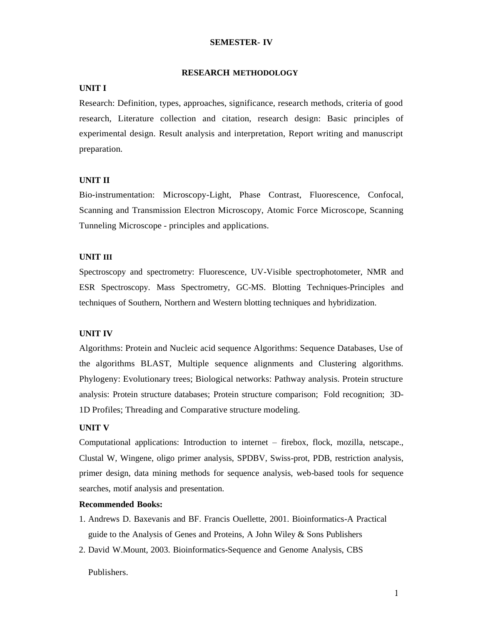#### **SEMESTER- IV**

#### **RESEARCH METHODOLOGY**

#### **UNIT I**

Research: Definition, types, approaches, significance, research methods, criteria of good research, Literature collection and citation, research design: Basic principles of experimental design. Result analysis and interpretation, Report writing and manuscript preparation.

### **UNIT II**

Bio-instrumentation: Microscopy-Light, Phase Contrast, Fluorescence, Confocal, Scanning and Transmission Electron Microscopy, Atomic Force Microscope, Scanning Tunneling Microscope - principles and applications.

### **UNIT III**

Spectroscopy and spectrometry: Fluorescence, UV-Visible spectrophotometer, NMR and ESR Spectroscopy. Mass Spectrometry, GC-MS. Blotting Techniques-Principles and techniques of Southern, Northern and Western blotting techniques and hybridization.

#### **UNIT IV**

Algorithms: Protein and Nucleic acid sequence Algorithms: Sequence Databases, Use of the algorithms BLAST, Multiple sequence alignments and Clustering algorithms. Phylogeny: Evolutionary trees; Biological networks: Pathway analysis. Protein structure analysis: Protein structure databases; Protein structure comparison; Fold recognition; 3D-1D Profiles; Threading and Comparative structure modeling.

### **UNIT V**

Computational applications: Introduction to internet – firebox, flock, mozilla, netscape., Clustal W, Wingene, oligo primer analysis, SPDBV, Swiss-prot, PDB, restriction analysis, primer design, data mining methods for sequence analysis, web-based tools for sequence searches, motif analysis and presentation.

#### **Recommended Books:**

- 1. Andrews D. Baxevanis and BF. Francis Ouellette, 2001. Bioinformatics-A Practical guide to the Analysis of Genes and Proteins, A John Wiley & Sons Publishers
- 2. David W.Mount, 2003. Bioinformatics-Sequence and Genome Analysis, CBS

Publishers.

 $\mathbf{1}$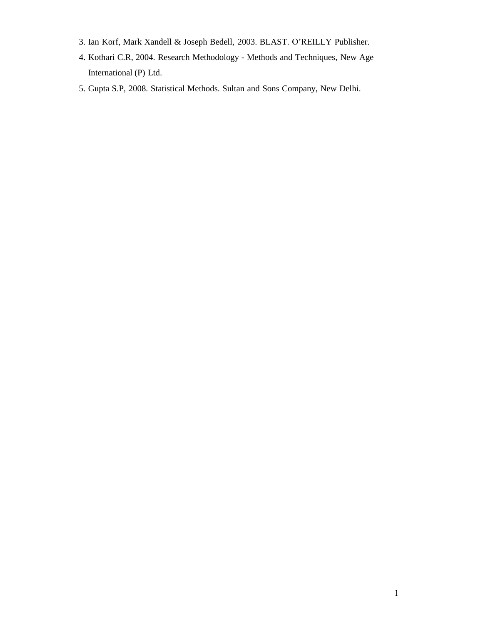- 3. Ian Korf, Mark Xandell & Joseph Bedell, 2003. BLAST. O'REILLY Publisher.
- 4. Kothari C.R, 2004. Research Methodology Methods and Techniques, New Age International (P) Ltd.
- 5. Gupta S.P, 2008. Statistical Methods. Sultan and Sons Company, New Delhi.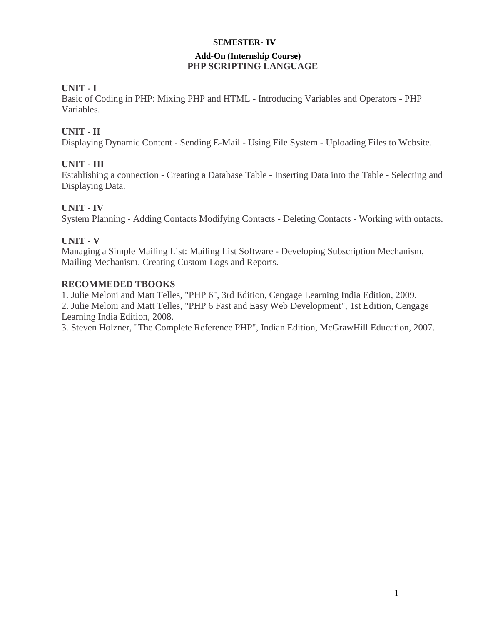### **SEMESTER- IV**

# **Add-On (Internship Course) PHP SCRIPTING LANGUAGE**

# **UNIT - I**

Basic of Coding in PHP: Mixing PHP and HTML - Introducing Variables and Operators - PHP Variables.

# **UNIT - II**

Displaying Dynamic Content - Sending E-Mail - Using File System - Uploading Files to Website.

# **UNIT - III**

Establishing a connection - Creating a Database Table - Inserting Data into the Table - Selecting and Displaying Data.

# **UNIT - IV**

System Planning - Adding Contacts Modifying Contacts - Deleting Contacts - Working with ontacts.

# **UNIT - V**

Managing a Simple Mailing List: Mailing List Software - Developing Subscription Mechanism, Mailing Mechanism. Creating Custom Logs and Reports.

# **RECOMMEDED TBOOKS**

1. Julie Meloni and Matt Telles, "PHP 6", 3rd Edition, Cengage Learning India Edition, 2009.

2. Julie Meloni and Matt Telles, "PHP 6 Fast and Easy Web Development", 1st Edition, Cengage Learning India Edition, 2008.

3. Steven Holzner, "The Complete Reference PHP", Indian Edition, McGrawHill Education, 2007.